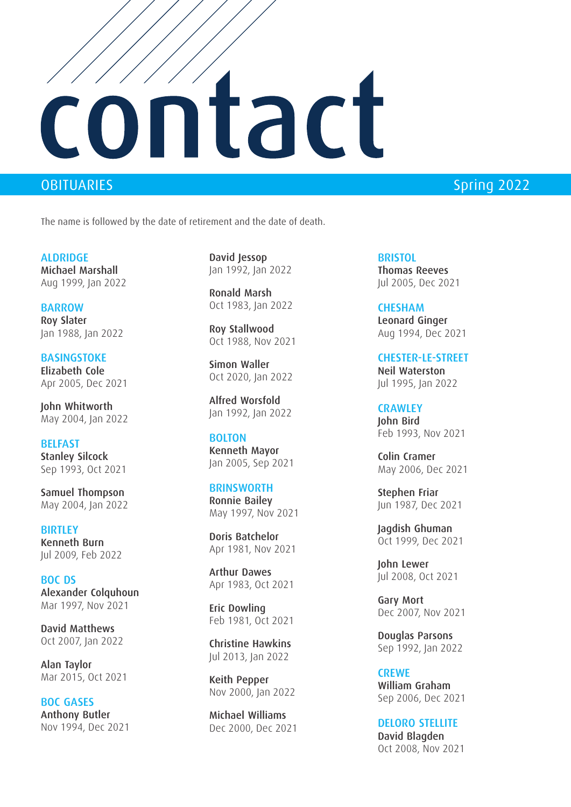## contact

OBITUARIES **Spring 2022** 

The name is followed by the date of retirement and the date of death.

ALDRIDGE Michael Marshall Aug 1999, Jan 2022

BARROW Roy Slater Jan 1988, Jan 2022

BASINGSTOKE Elizabeth Cole Apr 2005, Dec 2021

John Whitworth May 2004, Jan 2022

BELFAST Stanley Silcock Sep 1993, Oct 2021

Samuel Thompson May 2004, Jan 2022

**BIRTLEY** Kenneth Burn Jul 2009, Feb 2022

BOC DS Alexander Colquhoun Mar 1997, Nov 2021

David Matthews Oct 2007, Jan 2022

Alan Taylor Mar 2015, Oct 2021

BOC GASES Anthony Butler Nov 1994, Dec 2021

David Jessop Jan 1992, Jan 2022

Ronald Marsh Oct 1983, Jan 2022

Roy Stallwood Oct 1988, Nov 2021

Simon Waller Oct 2020, Jan 2022

Alfred Worsfold Jan 1992, Jan 2022

**BOLTON** Kenneth Mayor Jan 2005, Sep 2021

**BRINSWORTH** Ronnie Bailey May 1997, Nov 2021

Doris Batchelor Apr 1981, Nov 2021

Arthur Dawes Apr 1983, Oct 2021

Eric Dowling Feb 1981, Oct 2021

Christine Hawkins Jul 2013, Jan 2022

Keith Pepper Nov 2000, Jan 2022

Michael Williams Dec 2000, Dec 2021

**BRISTOL** Thomas Reeves Jul 2005, Dec 2021

**CHESHAM** Leonard Ginger Aug 1994, Dec 2021

CHESTER-LE-STREET Neil Waterston Jul 1995, Jan 2022

**CRAWLEY** John Bird Feb 1993, Nov 2021

Colin Cramer May 2006, Dec 2021

Stephen Friar Jun 1987, Dec 2021

Jagdish Ghuman Oct 1999, Dec 2021

John Lewer Jul 2008, Oct 2021

Gary Mort Dec 2007, Nov 2021

Douglas Parsons Sep 1992, Jan 2022

**CREWE** William Graham Sep 2006, Dec 2021

DELORO STELLITE David Blagden Oct 2008, Nov 2021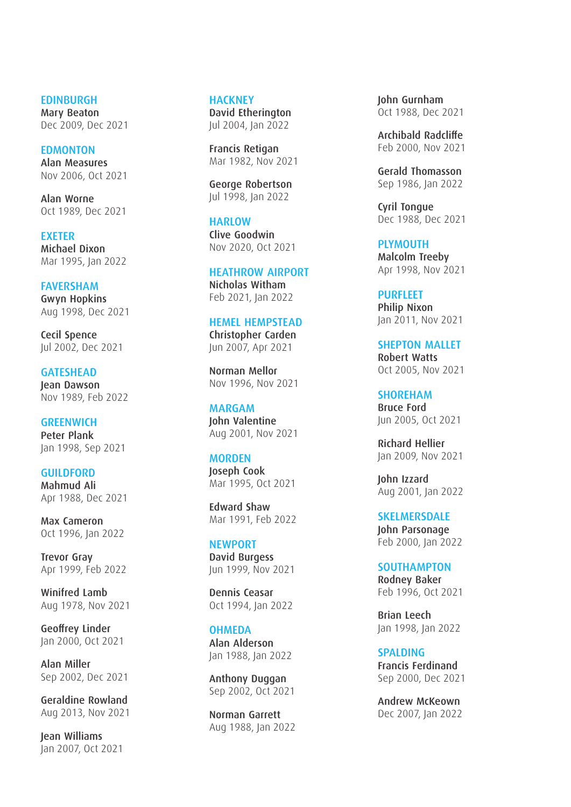**EDINBURGH** Mary Beaton Dec 2009, Dec 2021

EDMONTON Alan Measures Nov 2006, Oct 2021

Alan Worne Oct 1989, Dec 2021

EXETER Michael Dixon Mar 1995, Jan 2022

FAVERSHAM Gwyn Hopkins Aug 1998, Dec 2021

Cecil Spence Jul 2002, Dec 2021

**GATESHEAD** Jean Dawson Nov 1989, Feb 2022

**GREENWICH** Peter Plank Jan 1998, Sep 2021

GUILDFORD Mahmud Ali Apr 1988, Dec 2021

Max Cameron Oct 1996, Jan 2022

Trevor Gray Apr 1999, Feb 2022

Winifred Lamb Aug 1978, Nov 2021

Geoffrey Linder Jan 2000, Oct 2021

Alan Miller Sep 2002, Dec 2021

Geraldine Rowland Aug 2013, Nov 2021

Jean Williams Jan 2007, Oct 2021

**HACKNEY** David Etherington Jul 2004, Jan 2022

Francis Retigan Mar 1982, Nov 2021

George Robertson Jul 1998, Jan 2022

**HARLOW** Clive Goodwin Nov 2020, Oct 2021

HEATHROW AIRPORT Nicholas Witham Feb 2021, Jan 2022

HEMEL HEMPSTEAD Christopher Carden Jun 2007, Apr 2021

Norman Mellor Nov 1996, Nov 2021

MARGAM John Valentine Aug 2001, Nov 2021

**MORDEN** Joseph Cook Mar 1995, Oct 2021

Edward Shaw Mar 1991, Feb 2022

**NEWPORT** David Burgess Jun 1999, Nov 2021

Dennis Ceasar Oct 1994, Jan 2022

**OHMEDA** Alan Alderson Jan 1988, Jan 2022

Anthony Duggan Sep 2002, Oct 2021

Norman Garrett Aug 1988, Jan 2022 John Gurnham Oct 1988, Dec 2021

Archibald Radcliffe Feb 2000, Nov 2021

Gerald Thomasson Sep 1986, Jan 2022

Cyril Tongue Dec 1988, Dec 2021

PLYMOUTH Malcolm Treeby Apr 1998, Nov 2021

PURFLEET Philip Nixon Jan 2011, Nov 2021

SHEPTON MALLET Robert Watts Oct 2005, Nov 2021

SHOREHAM Bruce Ford Jun 2005, Oct 2021

Richard Hellier Jan 2009, Nov 2021

John Izzard Aug 2001, Jan 2022

**SKELMERSDALE** John Parsonage Feb 2000, Jan 2022

**SOUTHAMPTON** Rodney Baker Feb 1996, Oct 2021

Brian Leech Jan 1998, Jan 2022

**SPALDING** Francis Ferdinand Sep 2000, Dec 2021

Andrew McKeown Dec 2007, Jan 2022